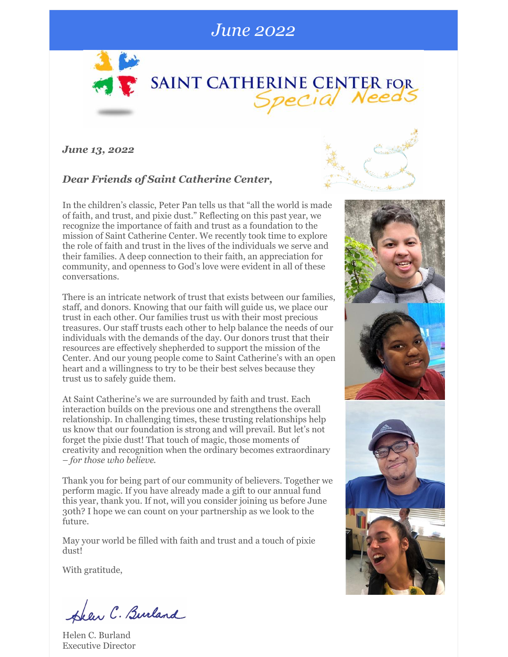## *June 2022*



*June 13, 2022*

### *Dear Friends of Saint Catherine Center,*

In the children's classic, Peter Pan tells us that "all the world is made of faith, and trust, and pixie dust." Reflecting on this past year, we recognize the importance of faith and trust as a foundation to the mission of Saint Catherine Center. We recently took time to explore the role of faith and trust in the lives of the individuals we serve and their families. A deep connection to their faith, an appreciation for community, and openness to God's love were evident in all of these conversations.

There is an intricate network of trust that exists between our families, staff, and donors. Knowing that our faith will guide us, we place our trust in each other. Our families trust us with their most precious treasures. Our staff trusts each other to help balance the needs of our individuals with the demands of the day. Our donors trust that their resources are effectively shepherded to support the mission of the Center. And our young people come to Saint Catherine's with an open heart and a willingness to try to be their best selves because they trust us to safely guide them.

At Saint Catherine's we are surrounded by faith and trust. Each interaction builds on the previous one and strengthens the overall relationship. In challenging times, these trusting relationships help us know that our foundation is strong and will prevail. But let's not forget the pixie dust! That touch of magic, those moments of creativity and recognition when the ordinary becomes extraordinary – *for those who believe*.

Thank you for being part of our community of believers. Together we perform magic. If you have already made a gift to our annual fund this year, thank you. If not, will you consider joining us before June 30th? I hope we can count on your partnership as we look to the future.

May your world be filled with faith and trust and a touch of pixie dust!

With gratitude,

Hear C. Burland

Helen C. Burland Executive Director



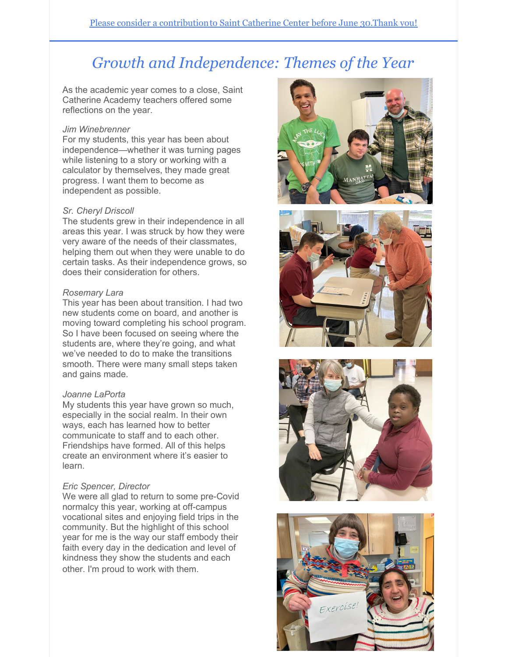# *Growth and Independence: Themes of the Year*

As the academic year comes to a close, Saint Catherine Academy teachers offered some reflections on the year.

#### *Jim Winebrenner*

For my students, this year has been about independence—whether it was turning pages while listening to a story or working with a calculator by themselves, they made great progress. I want them to become as independent as possible.

#### *Sr. Cheryl Driscoll*

The students grew in their independence in all areas this year. I was struck by how they were very aware of the needs of their classmates, helping them out when they were unable to do certain tasks. As their independence grows, so does their consideration for others.

#### *Rosemary Lara*

This year has been about transition. I had two new students come on board, and another is moving toward completing his school program. So I have been focused on seeing where the students are, where they're going, and what we've needed to do to make the transitions smooth. There were many small steps taken and gains made.

#### *Joanne LaPorta*

My students this year have grown so much, especially in the social realm. In their own ways, each has learned how to better communicate to staff and to each other. Friendships have formed. All of this helps create an environment where it's easier to learn.

#### *Eric Spencer, Director*

We were all glad to return to some pre-Covid normalcy this year, working at off-campus vocational sites and enjoying field trips in the community. But the highlight of this school year for me is the way our staff embody their faith every day in the dedication and level of kindness they show the students and each other. I'm proud to work with them.